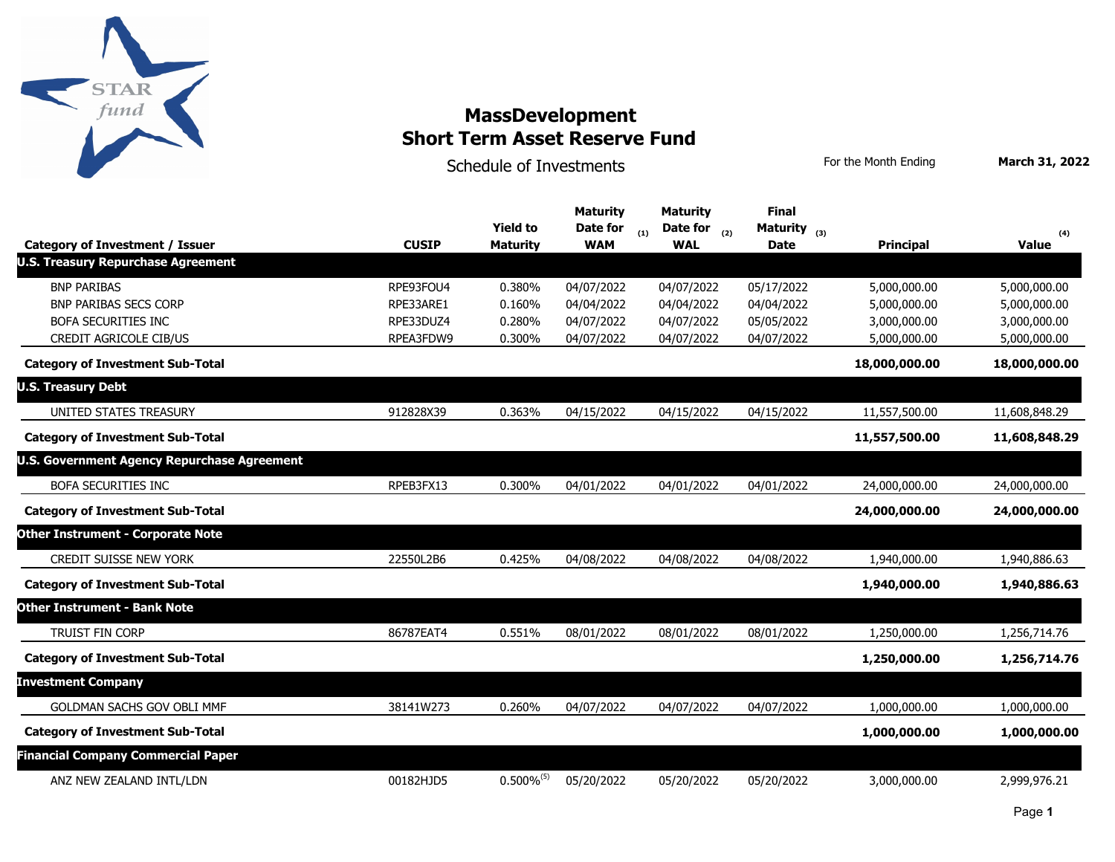

Schedule of Investments **For the Month Ending** March 31, 2022

| <b>Category of Investment / Issuer</b>             | <b>CUSIP</b> | <b>Yield to</b><br><b>Maturity</b> | <b>Maturity</b><br>Date for<br><b>WAM</b> | <b>Maturity</b><br>Date for $_{(2)}$<br>(1)<br><b>WAL</b> | <b>Final</b><br>Maturity $_{(3)}$<br><b>Date</b> | <b>Principal</b> | (4)<br><b>Value</b> |
|----------------------------------------------------|--------------|------------------------------------|-------------------------------------------|-----------------------------------------------------------|--------------------------------------------------|------------------|---------------------|
| <b>U.S. Treasury Repurchase Agreement</b>          |              |                                    |                                           |                                                           |                                                  |                  |                     |
| <b>BNP PARIBAS</b>                                 | RPE93FOU4    | 0.380%                             | 04/07/2022                                | 04/07/2022                                                | 05/17/2022                                       | 5,000,000.00     | 5,000,000.00        |
| <b>BNP PARIBAS SECS CORP</b>                       | RPE33ARE1    | 0.160%                             | 04/04/2022                                | 04/04/2022                                                | 04/04/2022                                       | 5,000,000.00     | 5,000,000.00        |
| <b>BOFA SECURITIES INC</b>                         | RPE33DUZ4    | 0.280%                             | 04/07/2022                                | 04/07/2022                                                | 05/05/2022                                       | 3,000,000.00     | 3,000,000.00        |
| CREDIT AGRICOLE CIB/US                             | RPEA3FDW9    | 0.300%                             | 04/07/2022                                | 04/07/2022                                                | 04/07/2022                                       | 5,000,000.00     | 5,000,000.00        |
| <b>Category of Investment Sub-Total</b>            |              |                                    |                                           |                                                           |                                                  | 18,000,000.00    | 18,000,000.00       |
| <b>U.S. Treasury Debt</b>                          |              |                                    |                                           |                                                           |                                                  |                  |                     |
| UNITED STATES TREASURY                             | 912828X39    | 0.363%                             | 04/15/2022                                | 04/15/2022                                                | 04/15/2022                                       | 11,557,500.00    | 11,608,848.29       |
| <b>Category of Investment Sub-Total</b>            |              |                                    |                                           |                                                           |                                                  | 11,557,500.00    | 11,608,848.29       |
| <b>U.S. Government Agency Repurchase Agreement</b> |              |                                    |                                           |                                                           |                                                  |                  |                     |
| <b>BOFA SECURITIES INC</b>                         | RPEB3FX13    | 0.300%                             | 04/01/2022                                | 04/01/2022                                                | 04/01/2022                                       | 24,000,000.00    | 24,000,000.00       |
| <b>Category of Investment Sub-Total</b>            |              |                                    |                                           |                                                           |                                                  | 24,000,000.00    | 24,000,000.00       |
| <b>Other Instrument - Corporate Note</b>           |              |                                    |                                           |                                                           |                                                  |                  |                     |
| <b>CREDIT SUISSE NEW YORK</b>                      | 22550L2B6    | 0.425%                             | 04/08/2022                                | 04/08/2022                                                | 04/08/2022                                       | 1,940,000.00     | 1,940,886.63        |
| <b>Category of Investment Sub-Total</b>            |              |                                    |                                           |                                                           |                                                  | 1,940,000.00     | 1,940,886.63        |
| <b>Other Instrument - Bank Note</b>                |              |                                    |                                           |                                                           |                                                  |                  |                     |
| <b>TRUIST FIN CORP</b>                             | 86787EAT4    | 0.551%                             | 08/01/2022                                | 08/01/2022                                                | 08/01/2022                                       | 1,250,000.00     | 1,256,714.76        |
| <b>Category of Investment Sub-Total</b>            |              |                                    |                                           |                                                           |                                                  | 1,250,000.00     | 1,256,714.76        |
| <b>Investment Company</b>                          |              |                                    |                                           |                                                           |                                                  |                  |                     |
| <b>GOLDMAN SACHS GOV OBLI MMF</b>                  | 38141W273    | 0.260%                             | 04/07/2022                                | 04/07/2022                                                | 04/07/2022                                       | 1,000,000.00     | 1,000,000.00        |
| <b>Category of Investment Sub-Total</b>            |              |                                    |                                           |                                                           |                                                  | 1,000,000.00     | 1,000,000.00        |
| <b>Financial Company Commercial Paper</b>          |              |                                    |                                           |                                                           |                                                  |                  |                     |
| ANZ NEW ZEALAND INTL/LDN                           | 00182HJD5    | $0.500\%^{(5)}$                    | 05/20/2022                                | 05/20/2022                                                | 05/20/2022                                       | 3,000,000.00     | 2,999,976.21        |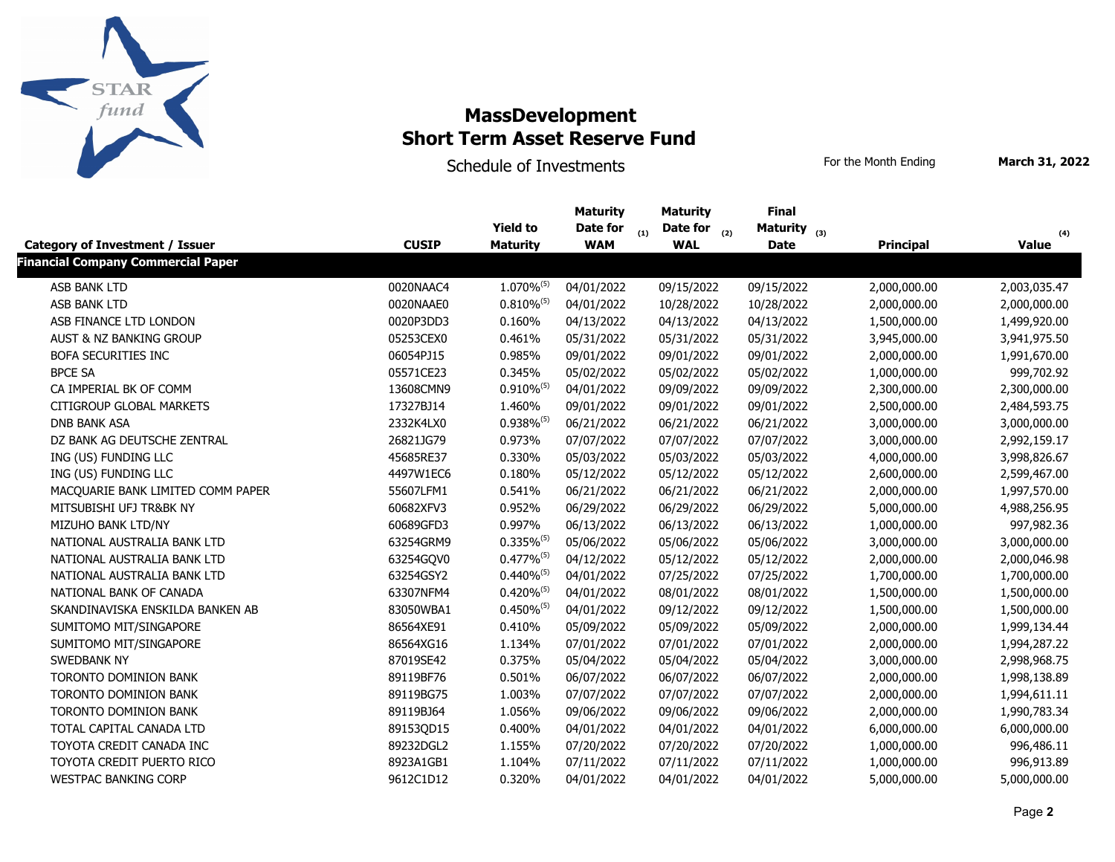

Schedule of Investments **For the Month Ending** March 31, 2022

|                                           |              | <b>Yield to</b>          | <b>Maturity</b><br>Date for | <b>Maturity</b>          | <b>Final</b>      |                  | (4)          |
|-------------------------------------------|--------------|--------------------------|-----------------------------|--------------------------|-------------------|------------------|--------------|
|                                           |              |                          |                             | Date for $_{(2)}$<br>(1) | Maturity $_{(3)}$ |                  |              |
| <b>Category of Investment / Issuer</b>    | <b>CUSIP</b> | <b>Maturity</b>          | <b>WAM</b>                  | <b>WAL</b>               | <b>Date</b>       | <b>Principal</b> | <b>Value</b> |
| <b>Financial Company Commercial Paper</b> |              |                          |                             |                          |                   |                  |              |
| ASB BANK LTD                              | 0020NAAC4    | $1.070\%^{(5)}$          | 04/01/2022                  | 09/15/2022               | 09/15/2022        | 2,000,000.00     | 2,003,035.47 |
| ASB BANK LTD                              | 0020NAAE0    | $0.810\%^{(5)}$          | 04/01/2022                  | 10/28/2022               | 10/28/2022        | 2,000,000.00     | 2,000,000.00 |
| ASB FINANCE LTD LONDON                    | 0020P3DD3    | 0.160%                   | 04/13/2022                  | 04/13/2022               | 04/13/2022        | 1,500,000.00     | 1,499,920.00 |
| AUST & NZ BANKING GROUP                   | 05253CEX0    | 0.461%                   | 05/31/2022                  | 05/31/2022               | 05/31/2022        | 3,945,000.00     | 3,941,975.50 |
| BOFA SECURITIES INC                       | 06054PJ15    | 0.985%                   | 09/01/2022                  | 09/01/2022               | 09/01/2022        | 2,000,000.00     | 1,991,670.00 |
| <b>BPCE SA</b>                            | 05571CE23    | 0.345%                   | 05/02/2022                  | 05/02/2022               | 05/02/2022        | 1,000,000.00     | 999,702.92   |
| CA IMPERIAL BK OF COMM                    | 13608CMN9    | $0.910\%^{(5)}$          | 04/01/2022                  | 09/09/2022               | 09/09/2022        | 2,300,000.00     | 2,300,000.00 |
| <b>CITIGROUP GLOBAL MARKETS</b>           | 17327BJ14    | 1.460%                   | 09/01/2022                  | 09/01/2022               | 09/01/2022        | 2,500,000.00     | 2,484,593.75 |
| <b>DNB BANK ASA</b>                       | 2332K4LX0    | $0.938\%^{(5)}$          | 06/21/2022                  | 06/21/2022               | 06/21/2022        | 3,000,000.00     | 3,000,000.00 |
| DZ BANK AG DEUTSCHE ZENTRAL               | 26821JG79    | 0.973%                   | 07/07/2022                  | 07/07/2022               | 07/07/2022        | 3,000,000.00     | 2,992,159.17 |
| ING (US) FUNDING LLC                      | 45685RE37    | 0.330%                   | 05/03/2022                  | 05/03/2022               | 05/03/2022        | 4,000,000.00     | 3,998,826.67 |
| ING (US) FUNDING LLC                      | 4497W1EC6    | 0.180%                   | 05/12/2022                  | 05/12/2022               | 05/12/2022        | 2,600,000.00     | 2,599,467.00 |
| MACQUARIE BANK LIMITED COMM PAPER         | 55607LFM1    | 0.541%                   | 06/21/2022                  | 06/21/2022               | 06/21/2022        | 2,000,000.00     | 1,997,570.00 |
| MITSUBISHI UFJ TR&BK NY                   | 60682XFV3    | 0.952%                   | 06/29/2022                  | 06/29/2022               | 06/29/2022        | 5,000,000.00     | 4,988,256.95 |
| MIZUHO BANK LTD/NY                        | 60689GFD3    | 0.997%                   | 06/13/2022                  | 06/13/2022               | 06/13/2022        | 1,000,000.00     | 997,982.36   |
| NATIONAL AUSTRALIA BANK LTD               | 63254GRM9    | $0.335\%$ <sup>(5)</sup> | 05/06/2022                  | 05/06/2022               | 05/06/2022        | 3,000,000.00     | 3,000,000.00 |
| NATIONAL AUSTRALIA BANK LTD               | 63254GQV0    | $0.477\%^{(5)}$          | 04/12/2022                  | 05/12/2022               | 05/12/2022        | 2,000,000.00     | 2,000,046.98 |
| NATIONAL AUSTRALIA BANK LTD               | 63254GSY2    | $0.440\%$ <sup>(5)</sup> | 04/01/2022                  | 07/25/2022               | 07/25/2022        | 1,700,000.00     | 1,700,000.00 |
| NATIONAL BANK OF CANADA                   | 63307NFM4    | $0.420\%^{(5)}$          | 04/01/2022                  | 08/01/2022               | 08/01/2022        | 1,500,000.00     | 1,500,000.00 |
| SKANDINAVISKA ENSKILDA BANKEN AB          | 83050WBA1    | $0.450\%^{(5)}$          | 04/01/2022                  | 09/12/2022               | 09/12/2022        | 1,500,000.00     | 1,500,000.00 |
| SUMITOMO MIT/SINGAPORE                    | 86564XE91    | 0.410%                   | 05/09/2022                  | 05/09/2022               | 05/09/2022        | 2,000,000.00     | 1,999,134.44 |
| SUMITOMO MIT/SINGAPORE                    | 86564XG16    | 1.134%                   | 07/01/2022                  | 07/01/2022               | 07/01/2022        | 2,000,000.00     | 1,994,287.22 |
| SWEDBANK NY                               | 87019SE42    | 0.375%                   | 05/04/2022                  | 05/04/2022               | 05/04/2022        | 3,000,000.00     | 2,998,968.75 |
| TORONTO DOMINION BANK                     | 89119BF76    | 0.501%                   | 06/07/2022                  | 06/07/2022               | 06/07/2022        | 2,000,000.00     | 1,998,138.89 |
| TORONTO DOMINION BANK                     | 89119BG75    | 1.003%                   | 07/07/2022                  | 07/07/2022               | 07/07/2022        | 2,000,000.00     | 1,994,611.11 |
| TORONTO DOMINION BANK                     | 89119BJ64    | 1.056%                   | 09/06/2022                  | 09/06/2022               | 09/06/2022        | 2,000,000.00     | 1,990,783.34 |
| TOTAL CAPITAL CANADA LTD                  | 89153QD15    | 0.400%                   | 04/01/2022                  | 04/01/2022               | 04/01/2022        | 6,000,000.00     | 6,000,000.00 |
| TOYOTA CREDIT CANADA INC                  | 89232DGL2    | 1.155%                   | 07/20/2022                  | 07/20/2022               | 07/20/2022        | 1,000,000.00     | 996,486.11   |
| TOYOTA CREDIT PUERTO RICO                 | 8923A1GB1    | 1.104%                   | 07/11/2022                  | 07/11/2022               | 07/11/2022        | 1,000,000.00     | 996,913.89   |
| <b>WESTPAC BANKING CORP</b>               | 9612C1D12    | 0.320%                   | 04/01/2022                  | 04/01/2022               | 04/01/2022        | 5,000,000.00     | 5,000,000.00 |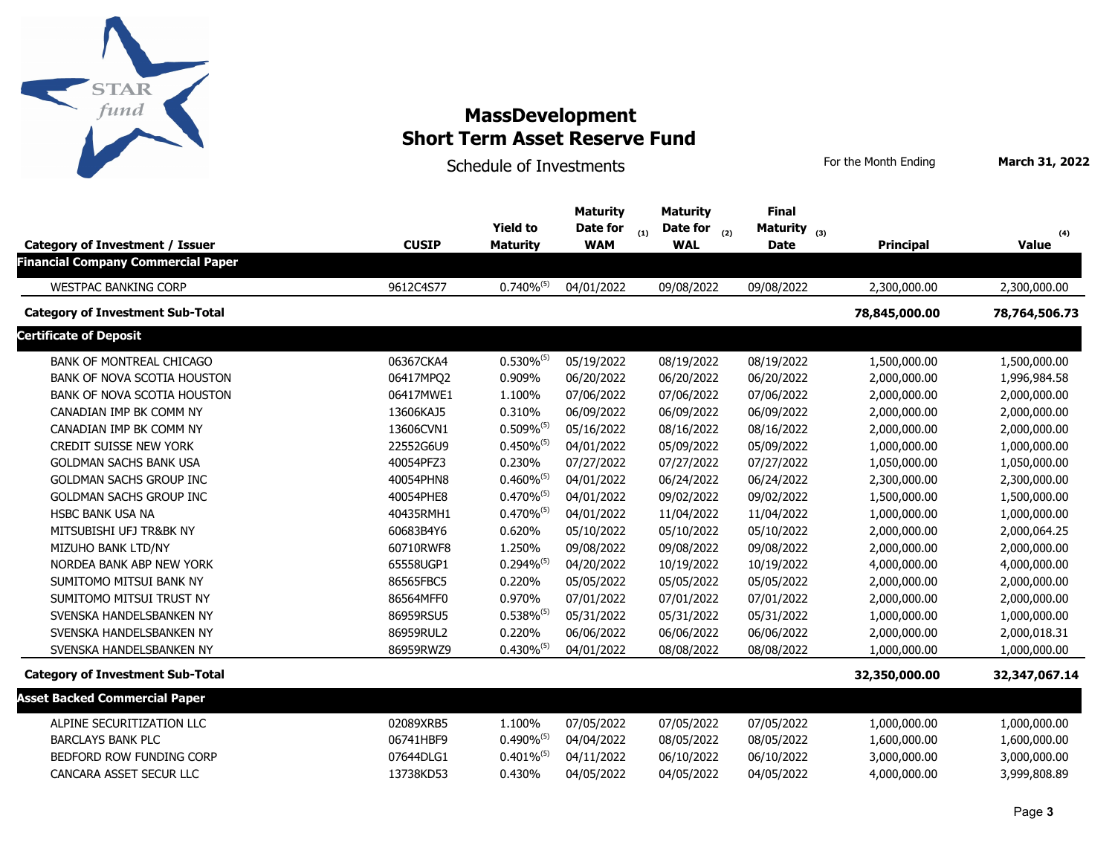

Schedule of Investments **For the Month Ending** March 31, 2022

|                                           |              |                          | <b>Maturity</b> | <b>Maturity</b>          | <b>Final</b>      |                  |               |
|-------------------------------------------|--------------|--------------------------|-----------------|--------------------------|-------------------|------------------|---------------|
|                                           |              | <b>Yield to</b>          | Date for        | Date for $_{(2)}$<br>(1) | Maturity $_{(3)}$ |                  | (4)           |
| <b>Category of Investment / Issuer</b>    | <b>CUSIP</b> | <b>Maturity</b>          | <b>WAM</b>      | <b>WAL</b>               | <b>Date</b>       | <b>Principal</b> | <b>Value</b>  |
| <b>Financial Company Commercial Paper</b> |              |                          |                 |                          |                   |                  |               |
| <b>WESTPAC BANKING CORP</b>               | 9612C4S77    | $0.740\%^{(5)}$          | 04/01/2022      | 09/08/2022               | 09/08/2022        | 2,300,000.00     | 2,300,000.00  |
| <b>Category of Investment Sub-Total</b>   |              |                          |                 |                          |                   | 78,845,000.00    | 78,764,506.73 |
| <b>Certificate of Deposit</b>             |              |                          |                 |                          |                   |                  |               |
| <b>BANK OF MONTREAL CHICAGO</b>           | 06367CKA4    | $0.530\%^{(5)}$          | 05/19/2022      | 08/19/2022               | 08/19/2022        | 1,500,000.00     | 1,500,000.00  |
| BANK OF NOVA SCOTIA HOUSTON               | 06417MPQ2    | 0.909%                   | 06/20/2022      | 06/20/2022               | 06/20/2022        | 2,000,000.00     | 1,996,984.58  |
| BANK OF NOVA SCOTIA HOUSTON               | 06417MWE1    | 1.100%                   | 07/06/2022      | 07/06/2022               | 07/06/2022        | 2,000,000.00     | 2,000,000.00  |
| CANADIAN IMP BK COMM NY                   | 13606KAJ5    | 0.310%                   | 06/09/2022      | 06/09/2022               | 06/09/2022        | 2,000,000.00     | 2,000,000.00  |
| CANADIAN IMP BK COMM NY                   | 13606CVN1    | $0.509\%^{(5)}$          | 05/16/2022      | 08/16/2022               | 08/16/2022        | 2,000,000.00     | 2,000,000.00  |
| <b>CREDIT SUISSE NEW YORK</b>             | 22552G6U9    | $0.450\%$ <sup>(5)</sup> | 04/01/2022      | 05/09/2022               | 05/09/2022        | 1,000,000.00     | 1,000,000.00  |
| <b>GOLDMAN SACHS BANK USA</b>             | 40054PFZ3    | 0.230%                   | 07/27/2022      | 07/27/2022               | 07/27/2022        | 1,050,000.00     | 1,050,000.00  |
| GOLDMAN SACHS GROUP INC                   | 40054PHN8    | $0.460\%^{(5)}$          | 04/01/2022      | 06/24/2022               | 06/24/2022        | 2,300,000.00     | 2,300,000.00  |
| <b>GOLDMAN SACHS GROUP INC</b>            | 40054PHE8    | $0.470\%^{(5)}$          | 04/01/2022      | 09/02/2022               | 09/02/2022        | 1,500,000.00     | 1,500,000.00  |
| <b>HSBC BANK USA NA</b>                   | 40435RMH1    | $0.470\%^{(5)}$          | 04/01/2022      | 11/04/2022               | 11/04/2022        | 1,000,000.00     | 1,000,000.00  |
| MITSUBISHI UFJ TR&BK NY                   | 60683B4Y6    | 0.620%                   | 05/10/2022      | 05/10/2022               | 05/10/2022        | 2,000,000.00     | 2,000,064.25  |
| MIZUHO BANK LTD/NY                        | 60710RWF8    | 1.250%                   | 09/08/2022      | 09/08/2022               | 09/08/2022        | 2,000,000.00     | 2,000,000.00  |
| NORDEA BANK ABP NEW YORK                  | 65558UGP1    | $0.294\%^{(5)}$          | 04/20/2022      | 10/19/2022               | 10/19/2022        | 4,000,000.00     | 4,000,000.00  |
| SUMITOMO MITSUI BANK NY                   | 86565FBC5    | 0.220%                   | 05/05/2022      | 05/05/2022               | 05/05/2022        | 2,000,000.00     | 2,000,000.00  |
| SUMITOMO MITSUI TRUST NY                  | 86564MFF0    | 0.970%                   | 07/01/2022      | 07/01/2022               | 07/01/2022        | 2,000,000.00     | 2,000,000.00  |
| SVENSKA HANDELSBANKEN NY                  | 86959RSU5    | $0.538\%^{(5)}$          | 05/31/2022      | 05/31/2022               | 05/31/2022        | 1,000,000.00     | 1,000,000.00  |
| SVENSKA HANDELSBANKEN NY                  | 86959RUL2    | 0.220%                   | 06/06/2022      | 06/06/2022               | 06/06/2022        | 2,000,000.00     | 2,000,018.31  |
| SVENSKA HANDELSBANKEN NY                  | 86959RWZ9    | $0.430\%^{(5)}$          | 04/01/2022      | 08/08/2022               | 08/08/2022        | 1,000,000.00     | 1,000,000.00  |
| <b>Category of Investment Sub-Total</b>   |              |                          |                 |                          |                   | 32,350,000.00    | 32,347,067.14 |
| <b>Asset Backed Commercial Paper</b>      |              |                          |                 |                          |                   |                  |               |
| ALPINE SECURITIZATION LLC                 | 02089XRB5    | 1.100%                   | 07/05/2022      | 07/05/2022               | 07/05/2022        | 1,000,000.00     | 1,000,000.00  |
| <b>BARCLAYS BANK PLC</b>                  | 06741HBF9    | $0.490\%^{(5)}$          | 04/04/2022      | 08/05/2022               | 08/05/2022        | 1,600,000.00     | 1,600,000.00  |
| BEDFORD ROW FUNDING CORP                  | 07644DLG1    | $0.401\%^{(5)}$          | 04/11/2022      | 06/10/2022               | 06/10/2022        | 3,000,000.00     | 3,000,000.00  |
| CANCARA ASSET SECUR LLC                   | 13738KD53    | 0.430%                   | 04/05/2022      | 04/05/2022               | 04/05/2022        | 4,000,000.00     | 3,999,808.89  |
|                                           |              |                          |                 |                          |                   |                  |               |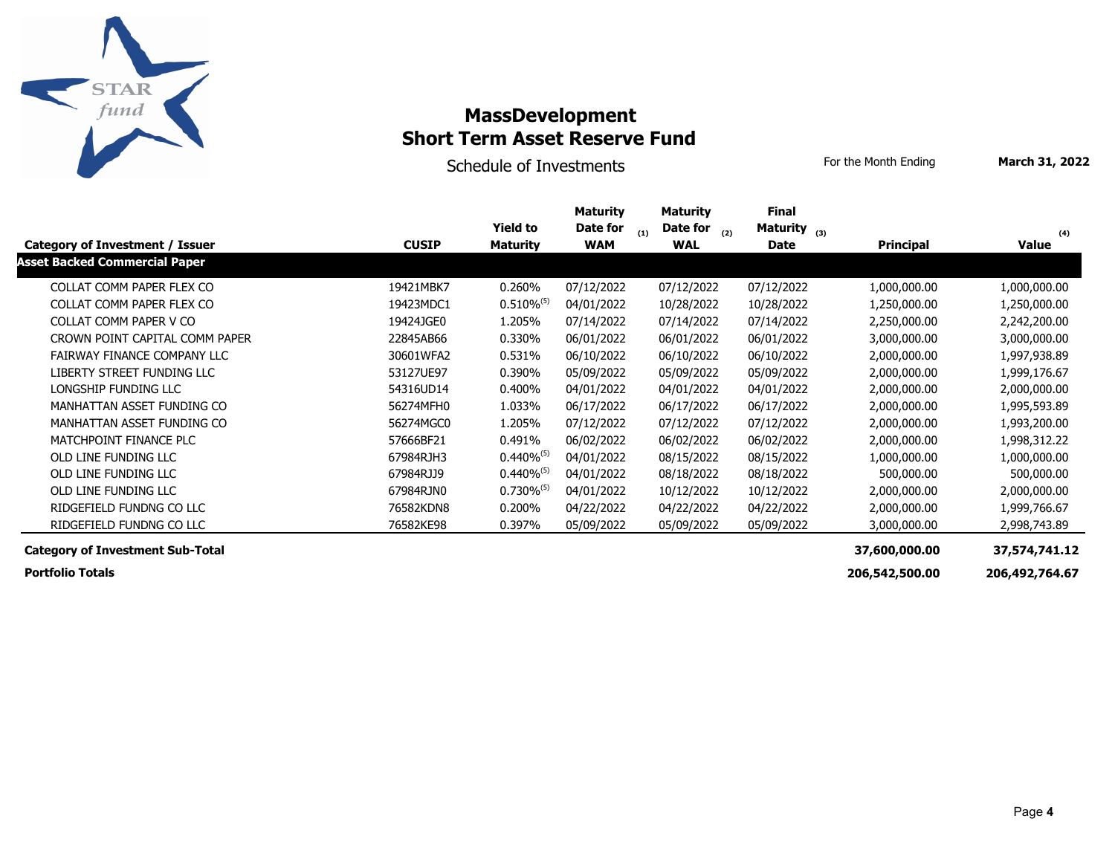

Schedule of Investments **For the Month Ending** March 31, 2022

|                                         |              | <b>Yield to</b>          | <b>Maturity</b><br>Date for | <b>Maturity</b><br>Date for | <b>Final</b><br>Maturity $_{(3)}$ |                  |               |
|-----------------------------------------|--------------|--------------------------|-----------------------------|-----------------------------|-----------------------------------|------------------|---------------|
| Category of Investment / Issuer         | <b>CUSIP</b> | <b>Maturity</b>          | <b>WAM</b>                  | (1)<br>(2)<br><b>WAL</b>    | <b>Date</b>                       | <b>Principal</b> | (4)<br>Value  |
| <b>Asset Backed Commercial Paper</b>    |              |                          |                             |                             |                                   |                  |               |
| COLLAT COMM PAPER FLEX CO               | 19421MBK7    | 0.260%                   | 07/12/2022                  | 07/12/2022                  | 07/12/2022                        | 1,000,000.00     | 1,000,000.00  |
| COLLAT COMM PAPER FLEX CO               | 19423MDC1    | $0.510\%$ <sup>(5)</sup> | 04/01/2022                  | 10/28/2022                  | 10/28/2022                        | 1,250,000.00     | 1,250,000.00  |
| COLLAT COMM PAPER V CO                  | 19424JGE0    | 1.205%                   | 07/14/2022                  | 07/14/2022                  | 07/14/2022                        | 2,250,000.00     | 2,242,200.00  |
| CROWN POINT CAPITAL COMM PAPER          | 22845AB66    | 0.330%                   | 06/01/2022                  | 06/01/2022                  | 06/01/2022                        | 3,000,000.00     | 3,000,000.00  |
| FAIRWAY FINANCE COMPANY LLC             | 30601WFA2    | 0.531%                   | 06/10/2022                  | 06/10/2022                  | 06/10/2022                        | 2,000,000.00     | 1,997,938.89  |
| LIBERTY STREET FUNDING LLC              | 53127UE97    | 0.390%                   | 05/09/2022                  | 05/09/2022                  | 05/09/2022                        | 2,000,000.00     | 1,999,176.67  |
| LONGSHIP FUNDING LLC                    | 54316UD14    | 0.400%                   | 04/01/2022                  | 04/01/2022                  | 04/01/2022                        | 2,000,000.00     | 2,000,000.00  |
| MANHATTAN ASSET FUNDING CO              | 56274MFH0    | 1.033%                   | 06/17/2022                  | 06/17/2022                  | 06/17/2022                        | 2,000,000.00     | 1,995,593.89  |
| MANHATTAN ASSET FUNDING CO              | 56274MGC0    | 1.205%                   | 07/12/2022                  | 07/12/2022                  | 07/12/2022                        | 2,000,000.00     | 1,993,200.00  |
| MATCHPOINT FINANCE PLC                  | 57666BF21    | 0.491%                   | 06/02/2022                  | 06/02/2022                  | 06/02/2022                        | 2,000,000.00     | 1,998,312.22  |
| OLD LINE FUNDING LLC                    | 67984RJH3    | $0.440\%^{(5)}$          | 04/01/2022                  | 08/15/2022                  | 08/15/2022                        | 1,000,000.00     | 1,000,000.00  |
| OLD LINE FUNDING LLC                    | 67984RJJ9    | $0.440\%^{(5)}$          | 04/01/2022                  | 08/18/2022                  | 08/18/2022                        | 500,000.00       | 500,000.00    |
| OLD LINE FUNDING LLC                    | 67984RJN0    | $0.730\%^{(5)}$          | 04/01/2022                  | 10/12/2022                  | 10/12/2022                        | 2,000,000.00     | 2,000,000.00  |
| RIDGEFIELD FUNDNG CO LLC                | 76582KDN8    | 0.200%                   | 04/22/2022                  | 04/22/2022                  | 04/22/2022                        | 2,000,000.00     | 1,999,766.67  |
| RIDGEFIELD FUNDNG CO LLC                | 76582KE98    | 0.397%                   | 05/09/2022                  | 05/09/2022                  | 05/09/2022                        | 3,000,000.00     | 2,998,743.89  |
| <b>Category of Investment Sub-Total</b> |              |                          |                             |                             |                                   | 37,600,000.00    | 37,574,741.12 |

 **Portfolio Totals 206,542,500.00 206,492,764.67**